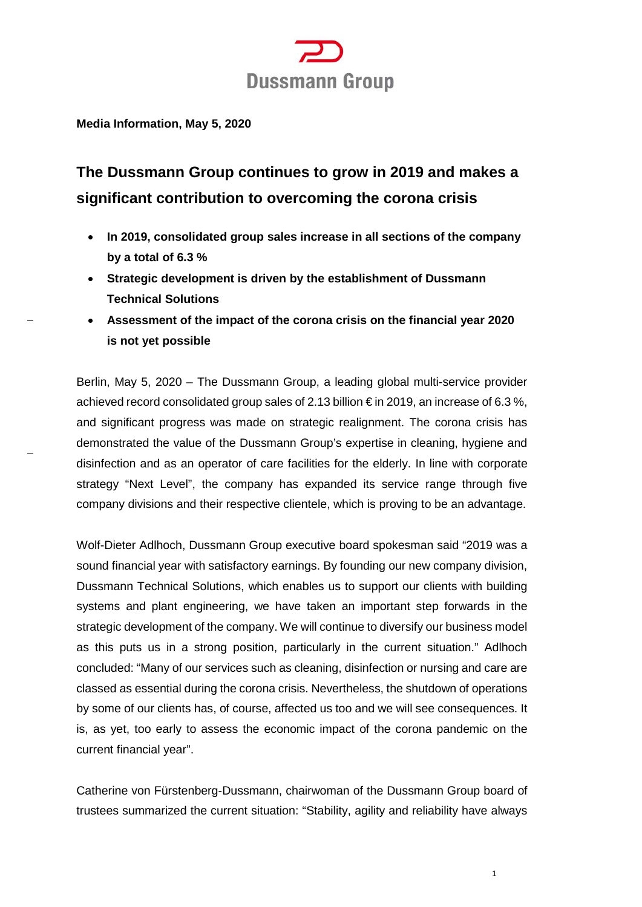

## **Media Information, May 5, 2020**

# **The Dussmann Group continues to grow in 2019 and makes a significant contribution to overcoming the corona crisis**

- **In 2019, consolidated group sales increase in all sections of the company by a total of 6.3 %**
- **Strategic development is driven by the establishment of Dussmann Technical Solutions**
- **Assessment of the impact of the corona crisis on the financial year 2020 is not yet possible**

Berlin, May 5, 2020 – The Dussmann Group, a leading global multi-service provider achieved record consolidated group sales of 2.13 billion € in 2019, an increase of 6.3 %, and significant progress was made on strategic realignment. The corona crisis has demonstrated the value of the Dussmann Group's expertise in cleaning, hygiene and disinfection and as an operator of care facilities for the elderly. In line with corporate strategy "Next Level", the company has expanded its service range through five company divisions and their respective clientele, which is proving to be an advantage.

Wolf-Dieter Adlhoch, Dussmann Group executive board spokesman said "2019 was a sound financial year with satisfactory earnings. By founding our new company division, Dussmann Technical Solutions, which enables us to support our clients with building systems and plant engineering, we have taken an important step forwards in the strategic development of the company. We will continue to diversify our business model as this puts us in a strong position, particularly in the current situation." Adlhoch concluded: "Many of our services such as cleaning, disinfection or nursing and care are classed as essential during the corona crisis. Nevertheless, the shutdown of operations by some of our clients has, of course, affected us too and we will see consequences. It is, as yet, too early to assess the economic impact of the corona pandemic on the current financial year".

Catherine von Fürstenberg-Dussmann, chairwoman of the Dussmann Group board of trustees summarized the current situation: "Stability, agility and reliability have always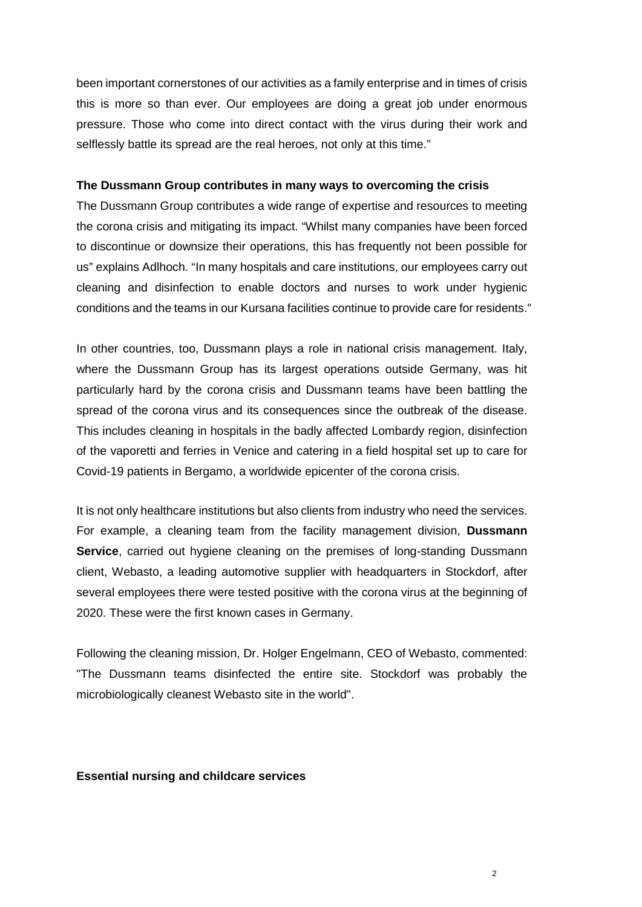been important cornerstones of our activities as a family enterprise and in times of crisis this is more so than ever. Our employees are doing a great job under enormous pressure. Those who come into direct contact with the virus during their work and selflessly battle its spread are the real heroes, not only at this time."

#### **The Dussmann Group contributes in many ways to overcoming the crisis**

The Dussmann Group contributes a wide range of expertise and resources to meeting the corona crisis and mitigating its impact. "Whilst many companies have been forced to discontinue or downsize their operations, this has frequently not been possible for us" explains Adlhoch. "In many hospitals and care institutions, our employees carry out cleaning and disinfection to enable doctors and nurses to work under hygienic conditions and the teams in our Kursana facilities continue to provide care for residents."

In other countries, too, Dussmann plays a role in national crisis management. Italy, where the Dussmann Group has its largest operations outside Germany, was hit particularly hard by the corona crisis and Dussmann teams have been battling the spread of the corona virus and its consequences since the outbreak of the disease. This includes cleaning in hospitals in the badly affected Lombardy region, disinfection of the vaporetti and ferries in Venice and catering in a field hospital set up to care for Covid-19 patients in Bergamo, a worldwide epicenter of the corona crisis.

It is not only healthcare institutions but also clients from industry who need the services. For example, a cleaning team from the facility management division, **Dussmann Service**, carried out hygiene cleaning on the premises of long-standing Dussmann client, Webasto, a leading automotive supplier with headquarters in Stockdorf, after several employees there were tested positive with the corona virus at the beginning of 2020. These were the first known cases in Germany.

Following the cleaning mission, Dr. Holger Engelmann, CEO of Webasto, commented: "The Dussmann teams disinfected the entire site. Stockdorf was probably the microbiologically cleanest Webasto site in the world".

#### **Essential nursing and childcare services**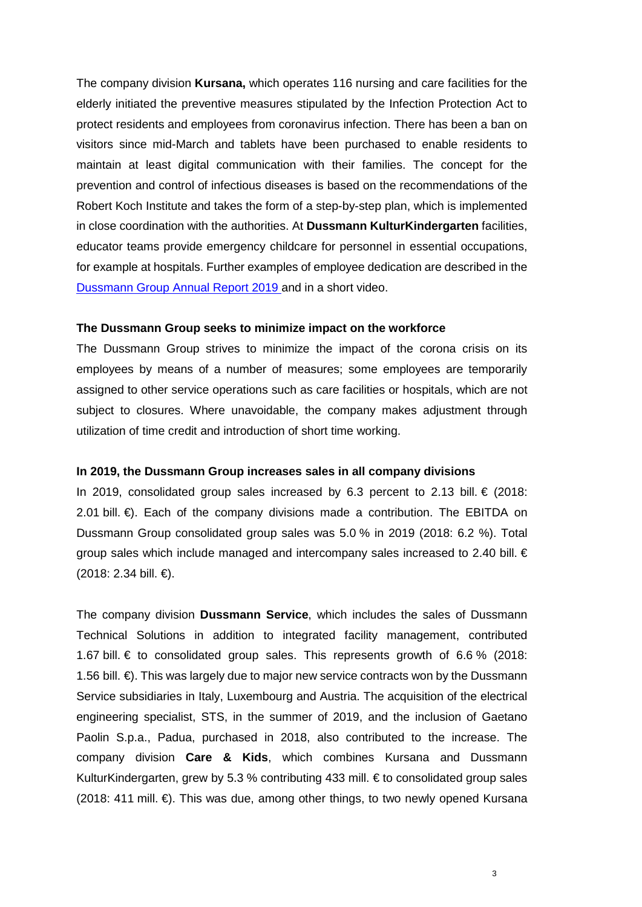The company division **Kursana,** which operates 116 nursing and care facilities for the elderly initiated the preventive measures stipulated by the Infection Protection Act to protect residents and employees from coronavirus infection. There has been a ban on visitors since mid-March and tablets have been purchased to enable residents to maintain at least digital communication with their families. The concept for the prevention and control of infectious diseases is based on the recommendations of the Robert Koch Institute and takes the form of a step-by-step plan, which is implemented in close coordination with the authorities. At **Dussmann KulturKindergarten** facilities, educator teams provide emergency childcare for personnel in essential occupations, for example at hospitals. Further examples of employee dedication are described in the [Dussmann Group Annual Report](https://news.dussmanngroup.com/publikationen/) 2019 and in a short video.

#### **The Dussmann Group seeks to minimize impact on the workforce**

The Dussmann Group strives to minimize the impact of the corona crisis on its employees by means of a number of measures; some employees are temporarily assigned to other service operations such as care facilities or hospitals, which are not subject to closures. Where unavoidable, the company makes adjustment through utilization of time credit and introduction of short time working.

## **In 2019, the Dussmann Group increases sales in all company divisions**

In 2019, consolidated group sales increased by 6.3 percent to 2.13 bill. € (2018: 2.01 bill. €). Each of the company divisions made a contribution. The EBITDA on Dussmann Group consolidated group sales was 5.0 % in 2019 (2018: 6.2 %). Total group sales which include managed and intercompany sales increased to 2.40 bill.  $\epsilon$ (2018: 2.34 bill. €).

The company division **Dussmann Service**, which includes the sales of Dussmann Technical Solutions in addition to integrated facility management, contributed 1.67 bill.  $€$  to consolidated group sales. This represents growth of 6.6 % (2018: 1.56 bill. €). This was largely due to major new service contracts won by the Dussmann Service subsidiaries in Italy, Luxembourg and Austria. The acquisition of the electrical engineering specialist, STS, in the summer of 2019, and the inclusion of Gaetano Paolin S.p.a., Padua, purchased in 2018, also contributed to the increase. The company division **Care & Kids**, which combines Kursana and Dussmann KulturKindergarten, grew by 5.3 % contributing 433 mill.  $\epsilon$  to consolidated group sales (2018: 411 mill. €). This was due, among other things, to two newly opened Kursana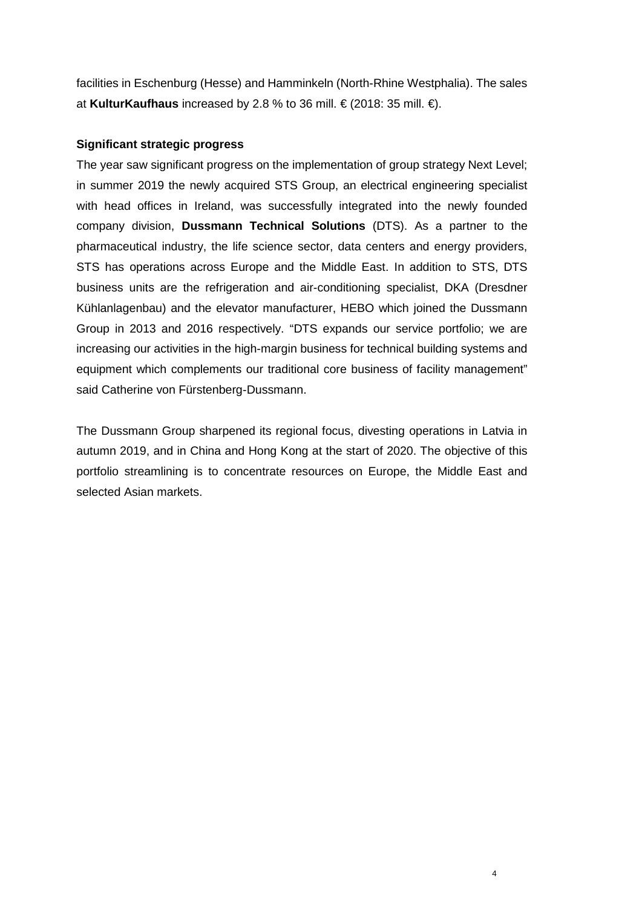facilities in Eschenburg (Hesse) and Hamminkeln (North-Rhine Westphalia). The sales at **KulturKaufhaus** increased by 2.8 % to 36 mill. € (2018: 35 mill. €).

# **Significant strategic progress**

The year saw significant progress on the implementation of group strategy Next Level; in summer 2019 the newly acquired STS Group, an electrical engineering specialist with head offices in Ireland, was successfully integrated into the newly founded company division, **Dussmann Technical Solutions** (DTS). As a partner to the pharmaceutical industry, the life science sector, data centers and energy providers, STS has operations across Europe and the Middle East. In addition to STS, DTS business units are the refrigeration and air-conditioning specialist, DKA (Dresdner Kühlanlagenbau) and the elevator manufacturer, HEBO which joined the Dussmann Group in 2013 and 2016 respectively. "DTS expands our service portfolio; we are increasing our activities in the high-margin business for technical building systems and equipment which complements our traditional core business of facility management" said Catherine von Fürstenberg-Dussmann.

The Dussmann Group sharpened its regional focus, divesting operations in Latvia in autumn 2019, and in China and Hong Kong at the start of 2020. The objective of this portfolio streamlining is to concentrate resources on Europe, the Middle East and selected Asian markets.